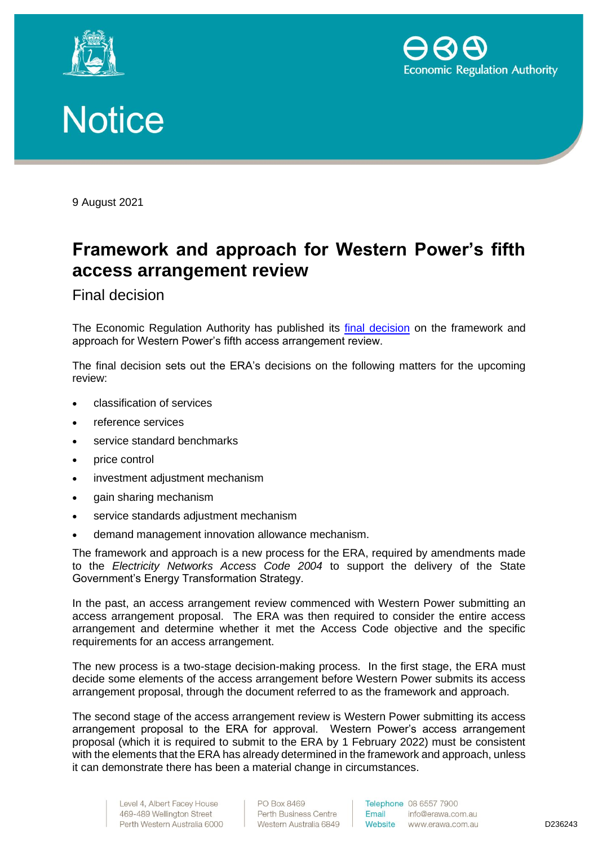





9 August 2021

## **Framework and approach for Western Power's fifth access arrangement review**

Final decision

The Economic Regulation Authority has published its final [decision](https://www.erawa.com.au/electricity/electricity-access/western-power-network/western-powers-network-access-arrangements/framework-and-approach-2022-to-2027) on the framework and approach for Western Power's fifth access arrangement review.

The final decision sets out the ERA's decisions on the following matters for the upcoming review:

- classification of services
- reference services
- service standard benchmarks
- price control
- investment adjustment mechanism
- gain sharing mechanism
- service standards adjustment mechanism
- demand management innovation allowance mechanism.

The framework and approach is a new process for the ERA, required by amendments made to the *Electricity Networks Access Code 2004* to support the delivery of the State Government's Energy Transformation Strategy.

In the past, an access arrangement review commenced with Western Power submitting an access arrangement proposal. The ERA was then required to consider the entire access arrangement and determine whether it met the Access Code objective and the specific requirements for an access arrangement.

The new process is a two-stage decision-making process. In the first stage, the ERA must decide some elements of the access arrangement before Western Power submits its access arrangement proposal, through the document referred to as the framework and approach.

The second stage of the access arrangement review is Western Power submitting its access arrangement proposal to the ERA for approval. Western Power's access arrangement proposal (which it is required to submit to the ERA by 1 February 2022) must be consistent with the elements that the ERA has already determined in the framework and approach, unless it can demonstrate there has been a material change in circumstances.